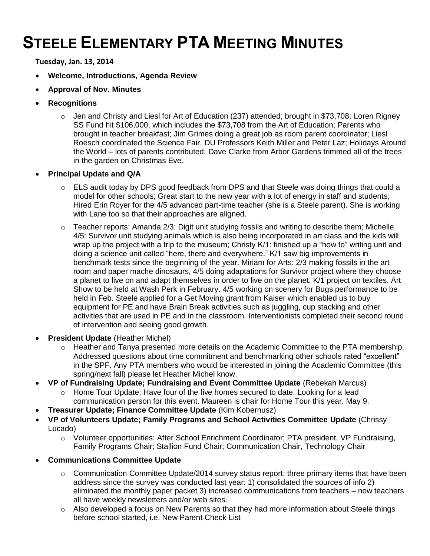## **STEELE ELEMENTARY PTA MEETING MINUTES**

**Tuesday, Jan. 13, 2014**

- **Welcome, Introductions, Agenda Review**
- **Approval of Nov. Minutes**
- **Recognitions** 
	- $\circ$  Jen and Christy and Liesl for Art of Education (237) attended; brought in \$73,708; Loren Rigney SS Fund hit \$106,000, which includes the \$73,708 from the Art of Education; Parents who brought in teacher breakfast; Jim Grimes doing a great job as room parent coordinator; Liesl Roesch coordinated the Science Fair, DU Professors Keith Miller and Peter Laz; Holidays Around the World – lots of parents contributed; Dave Clarke from Arbor Gardens trimmed all of the trees in the garden on Christmas Eve.
- **Principal Update and Q/A** 
	- o ELS audit today by DPS good feedback from DPS and that Steele was doing things that could a model for other schools; Great start to the new year with a lot of energy in staff and students; Hired Erin Royer for the 4/5 advanced part-time teacher (she is a Steele parent). She is working with Lane too so that their approaches are aligned.
	- o Teacher reports: Amanda 2/3: Digit unit studying fossils and writing to describe them; Michelle 4/5: Survivor unit studying animals which is also being incorporated in art class and the kids will wrap up the project with a trip to the museum; Christy K/1: finished up a "how to" writing unit and doing a science unit called "here, there and everywhere." K/1 saw big improvements in benchmark tests since the beginning of the year. Miriam for Arts: 2/3 making fossils in the art room and paper mache dinosaurs, 4/5 doing adaptations for Survivor project where they choose a planet to live on and adapt themselves in order to live on the planet. K/1 project on textiles. Art Show to be held at Wash Perk in February. 4/5 working on scenery for Bugs performance to be held in Feb. Steele applied for a Get Moving grant from Kaiser which enabled us to buy equipment for PE and have Brain Break activities such as juggling, cup stacking and other activities that are used in PE and in the classroom. Interventionists completed their second round of intervention and seeing good growth.
- **President Update** (Heather Michel)
	- o Heather and Tanya presented more details on the Academic Committee to the PTA membership. Addressed questions about time commitment and benchmarking other schools rated "excellent" in the SPF. Any PTA members who would be interested in joining the Academic Committee (this spring/next fall) please let Heather Michel know.
- **VP of Fundraising Update; Fundraising and Event Committee Update** (Rebekah Marcus)
	- $\circ$  Home Tour Update: Have four of the five homes secured to date. Looking for a lead communication person for this event. Maureen is chair for Home Tour this year. May 9.
- **Treasurer Update; Finance Committee Update** (Kim Kobernusz)
- **VP of Volunteers Update; Family Programs and School Activities Committee Update** (Chrissy Lucado)
	- o Volunteer opportunities: After School Enrichment Coordinator; PTA president, VP Fundraising, Family Programs Chair; Stallion Fund Chair; Communication Chair, Technology Chair
- **Communications Committee Update**
	- o Communication Committee Update/2014 survey status report: three primary items that have been address since the survey was conducted last year: 1) consolidated the sources of info 2) eliminated the monthly paper packet 3) increased communications from teachers – now teachers all have weekly newsletters and/or web sites.
	- o Also developed a focus on New Parents so that they had more information about Steele things before school started, i.e. New Parent Check List